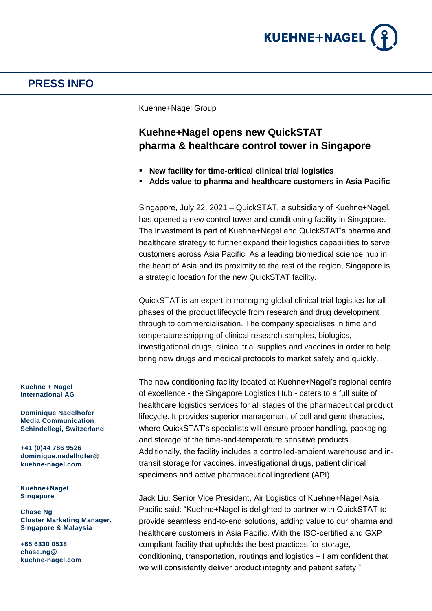

## **PRESS INFO**

### Kuehne+Nagel Group

# **Kuehne+Nagel opens new QuickSTAT pharma & healthcare control tower in Singapore**

- **New facility for time-critical clinical trial logistics**
- **Adds value to pharma and healthcare customers in Asia Pacific**

Singapore, July 22, 2021 – QuickSTAT, a subsidiary of Kuehne+Nagel, has opened a new control tower and conditioning facility in Singapore. The investment is part of Kuehne+Nagel and QuickSTAT's pharma and healthcare strategy to further expand their logistics capabilities to serve customers across Asia Pacific. As a leading biomedical science hub in the heart of Asia and its proximity to the rest of the region, Singapore is a strategic location for the new QuickSTAT facility.

QuickSTAT is an expert in managing global clinical trial logistics for all phases of the product lifecycle from research and drug development through to commercialisation. The company specialises in time and temperature shipping of clinical research samples, biologics, investigational drugs, clinical trial supplies and vaccines in order to help bring new drugs and medical protocols to market safely and quickly.

The new conditioning facility located at Kuehne+Nagel's regional centre of excellence - the Singapore Logistics Hub - caters to a full suite of healthcare logistics services for all stages of the pharmaceutical product lifecycle. It provides superior management of cell and gene therapies, where QuickSTAT's specialists will ensure proper handling, packaging and storage of the time-and-temperature sensitive products. Additionally, the facility includes a controlled-ambient warehouse and intransit storage for vaccines, investigational drugs, patient clinical specimens and active pharmaceutical ingredient (API).

Jack Liu, Senior Vice President, Air Logistics of Kuehne+Nagel Asia Pacific said: "Kuehne+Nagel is delighted to partner with QuickSTAT to provide seamless end-to-end solutions, adding value to our pharma and healthcare customers in Asia Pacific. With the ISO-certified and GXP compliant facility that upholds the best practices for storage, conditioning, transportation, routings and logistics – I am confident that we will consistently deliver product integrity and patient safety."

**Kuehne + Nagel International AG**

**Dominique Nadelhofer Media Communication Schindellegi, Switzerland**

**+41 (0)44 786 9526 dominique.nadelhofer@ kuehne-nagel.com**

**Kuehne+Nagel Singapore**

**Chase Ng Cluster Marketing Manager, Singapore & Malaysia** 

**+65 6330 0538 chase.ng@ kuehne-nagel.com**